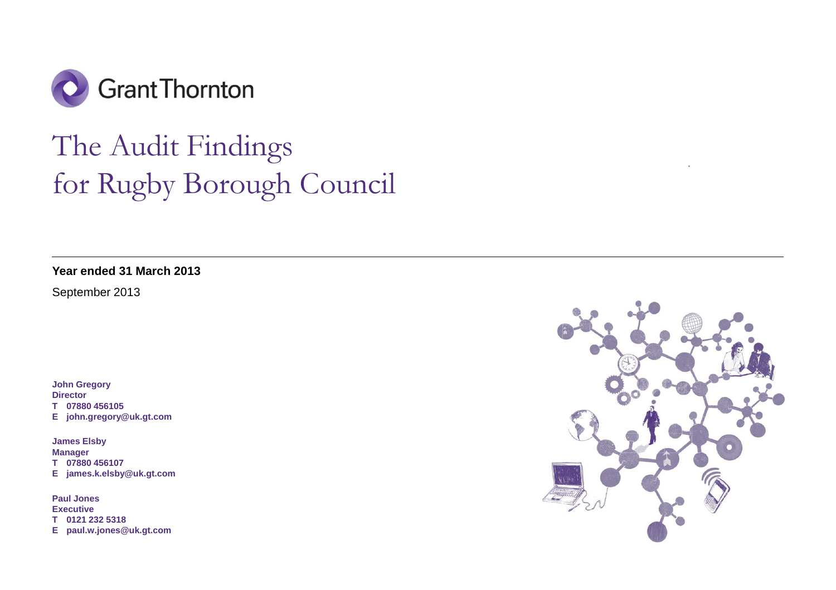

# The Audit Findings for Rugby Borough Council **.**

**Year ended 31 March 2013** 

September 2013

**John Gregory Director T 07880 456105 E john.gregory@uk.gt.com** 

**James Elsby Manager T 07880 456107 E james.k.elsby@uk.gt.com** 

**Paul Jones Executive T 0121 232 5318 E paul.w.jones@uk.gt.com** 

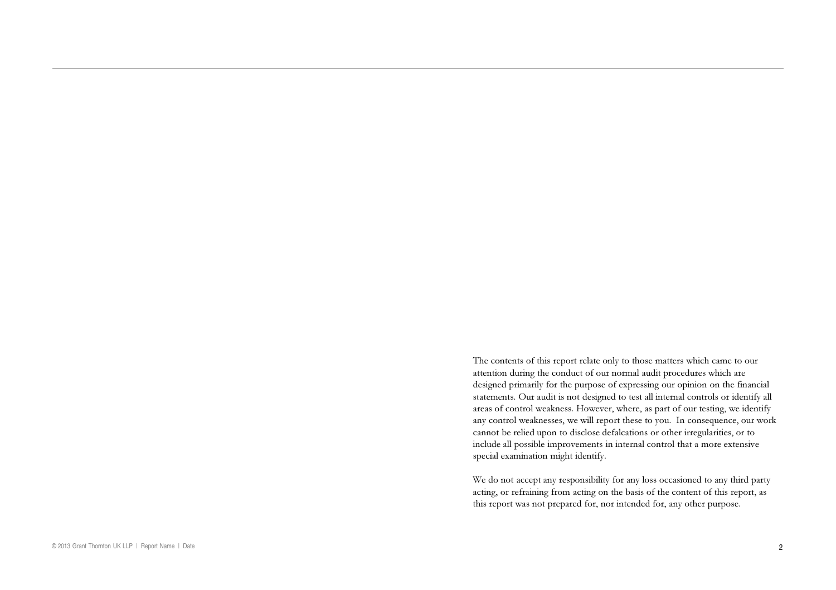The contents of this repor<sup>t</sup> relate only to those matters which came to our attention during the conduct of our normal audit procedures which are designed primarily for the purpose of expressing our opinion on the financial statements. Our audit is not designed to test all internal controls or identify all areas of control weakness. However, where, as par<sup>t</sup> of our testing, we identify any control weaknesses, we will repor<sup>t</sup> these to you. In consequence, our work cannot be relied upon to disclose defalcations or other irregularities, or to include all possible improvements in internal control that a more extensive special examination might identify.

We do not accep<sup>t</sup> any responsibility for any loss occasioned to any third party acting, or refraining from acting on the basis of the content of this report, as this repor<sup>t</sup> was not prepared for, nor intended for, any other purpose.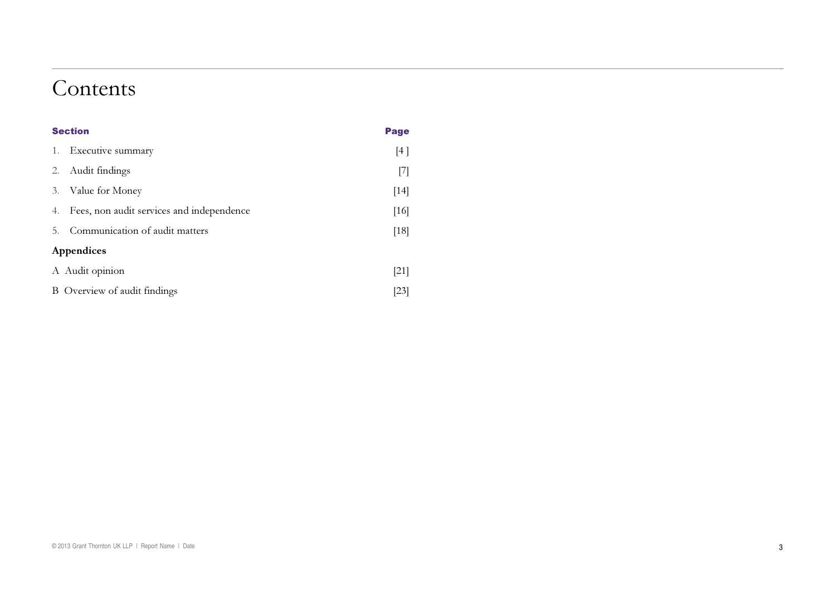## Contents

|    | <b>Section</b>                            | Page   |
|----|-------------------------------------------|--------|
| 1. | Executive summary                         | [4]    |
| 2. | Audit findings                            | $[7]$  |
| 3. | Value for Money                           | $[14]$ |
| 4. | Fees, non audit services and independence | $[16]$ |
| 5. | Communication of audit matters            | [18]   |
|    | Appendices                                |        |
|    | A Audit opinion                           | $[21]$ |
|    | B Overview of audit findings              | [23]   |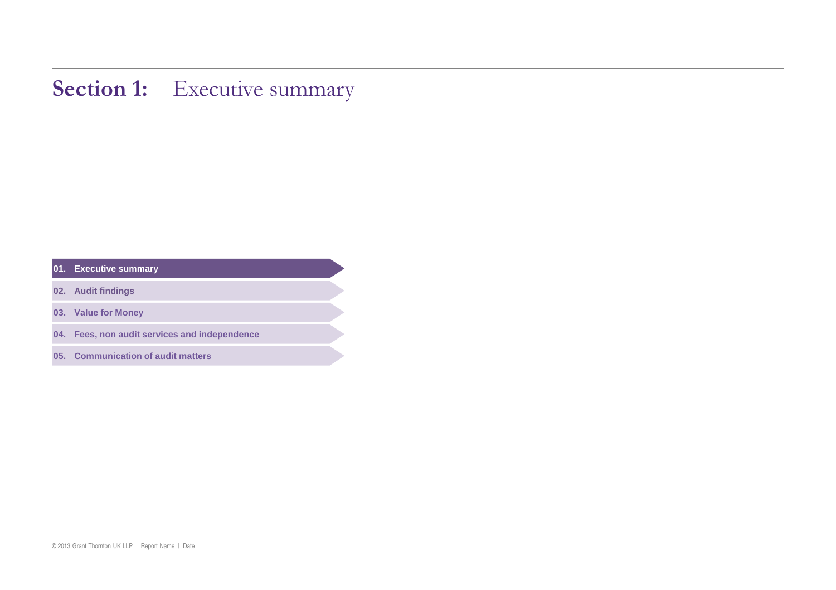## **Section 1:** Executive summary

| 01. | <b>Executive summary</b> |
|-----|--------------------------|
|     |                          |

- **. Audit findings**
- **. Value for Money**
- **. Fees, non audit services and independence**
- **. Communication of audit matters**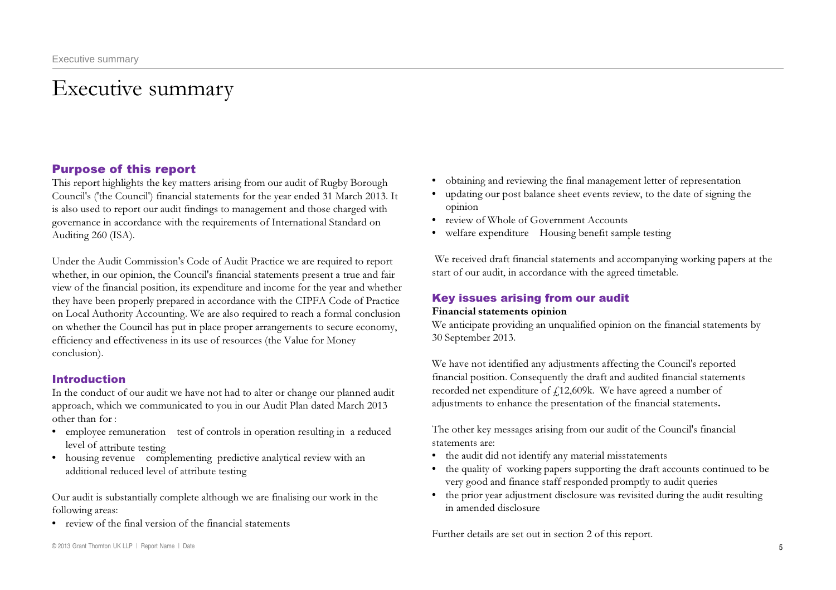## Executive summary

## Purpose of this report

This report highlights the key matters arising from our audit of Rugby Borough Council's ('the Council') financial statements for the year ended 31 March 2013. It is also used to report our audit findings to management and those charged with governance in accordance with the requirements of International Standard on Auditing 260 (ISA).

Under the Audit Commission's Code of Audit Practice we are required to report whether, in our opinion, the Council's financial statements present a true and fair view of the financial position, its expenditure and income for the year and whether they have been properly prepared in accordance with the CIPFA Code of Practice on Local Authority Accounting. We are also required to reach a formal conclusion on whether the Council has put in place proper arrangements to secure economy, efficiency and effectiveness in its use of resources (the Value for Money conclusion).

## Introduction

In the conduct of our audit we have not had to alter or change our planned audit approach, which we communicated to you in our Audit Plan dated March 2013 other than for :

- employee remuneration test of controls in operation resulting in a reduced level of attribute testing
- housing revenue complementing predictive analytical review with an additional reduced level of attribute testing

Our audit is substantially complete although we are finalising our work in the following areas:

- review of the final version of the financial statements
- © 2013 Grant Thornton UK LLP | Report Name | Date
- • obtaining and reviewing the final management letter of representation
- • updating our post balance sheet events review, to the date of signing the opinion
- review of Whole of Government Accounts
- welfare expenditure Housing benefit sample testing

We received draft financial statements and accompanying working papers at the start of our audit, in accordance with the agreed timetable.

## Key issues arising from our audit

### Financial statements opinion

We anticipate providing an unqualified opinion on the financial statements by 30 September 2013.

We have not identified any adjustments affecting the Council's reported financial position. Consequently the draft and audited financial statements recorded net expenditure of  $f12,609k$ . We have agreed a number of adjustments to enhance the presentation of the financial statements.

The other key messages arising from our audit of the Council's financial statements are:

- the audit did not identify any material misstatements
- the quality of working papers supporting the draft accounts continued to be very good and finance staff responded promptly to audit queries
- the prior year adjustment disclosure was revisited during the audit resulting in amended disclosure

Further details are set out in section 2 of this report.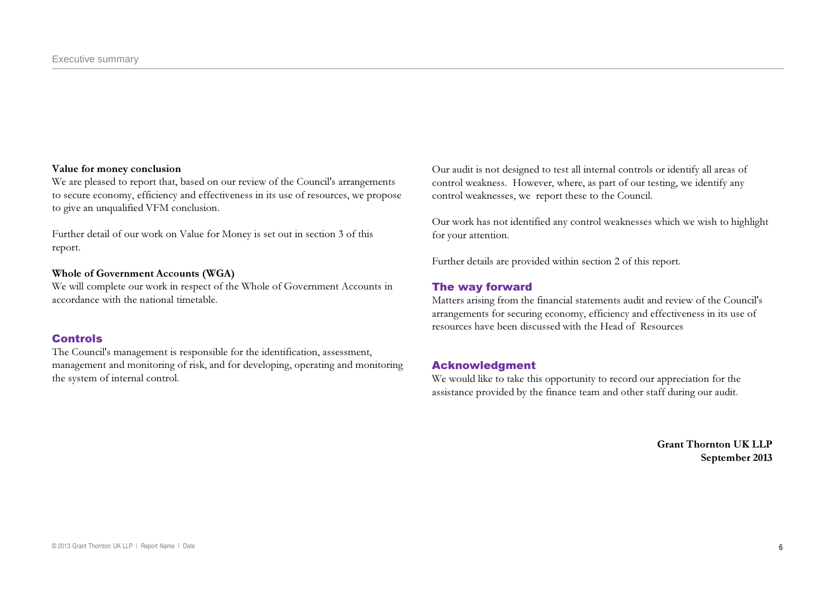#### Value for money conclusion

We are pleased to report that, based on our review of the Council's arrangements to secure economy, efficiency and effectiveness in its use of resources, we propose to give an unqualified VFM conclusion.

Further detail of our work on Value for Money is set out in section 3 of this report.

### Whole of Government Accounts (WGA)

We will complete our work in respect of the Whole of Government Accounts in accordance with the national timetable.

### Controls

The Council's management is responsible for the identification, assessment, management and monitoring of risk, and for developing, operating and monitoring the system of internal control.

Our audit is not designed to test all internal controls or identify all areas of control weakness. However, where, as part of our testing, we identify any control weaknesses, we report these to the Council.

Our work has not identified any control weaknesses which we wish to highlight for your attention.

Further details are provided within section 2 of this report.

### The way forward

Matters arising from the financial statements audit and review of the Council's arrangements for securing economy, efficiency and effectiveness in its use of resources have been discussed with the Head of Resources

### Acknowledgment

We would like to take this opportunity to record our appreciation for the assistance provided by the finance team and other staff during our audit.

> Grant Thornton UK LLP September 2013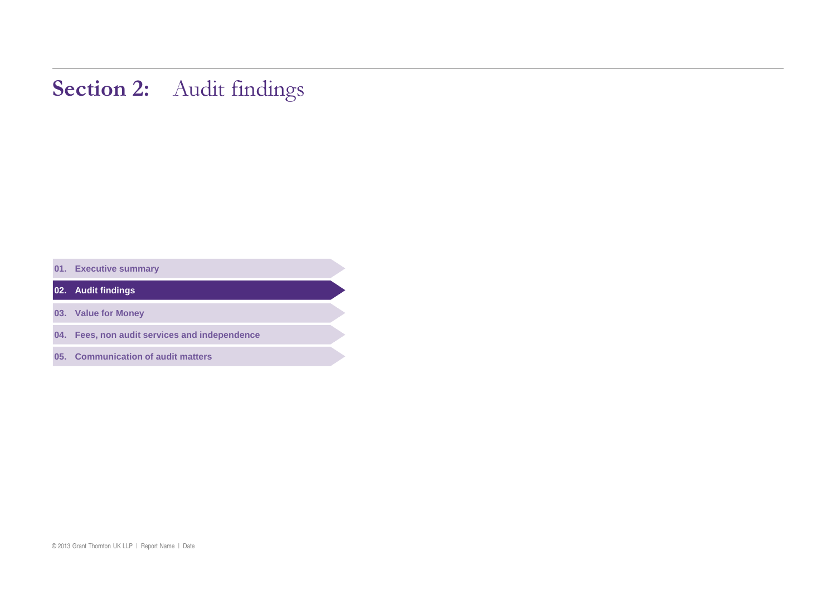## Section 2: Audit findings

**. Executive summary** 

**. Audit findings** 

**. Value for Money** 

**. Fees, non audit services and independence** 

**. Communication of audit matters**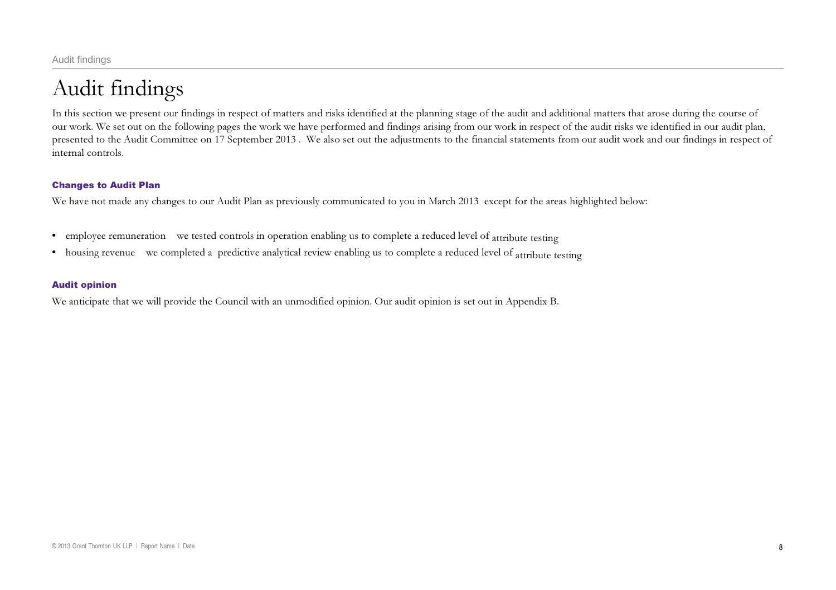## Audit findings

In this section we present our findings in respect of matters and risks identified at the planning stage of the audit and additional matters that arose during the course of our work. We set out on the following pages the work we have performed and findings arising from our work in respect of the audit risks we identified in our audit plan, presented to the Audit Committee on 17 September 2013 . We also set out the adjustments to the financial statements from our audit work and our findings in respect of internal controls.

### Changes to Audit Plan

We have not made any changes to our Audit Plan as previously communicated to you in March 2013 except for the areas highlighted below:

- employee remuneration we tested controls in operation enabling us to complete a reduced level of attribute testing
- housing revenue we completed a predictive analytical review enabling us to complete a reduced level of attribute testing

### Audit opinion

We anticipate that we will provide the Council with an unmodified opinion. Our audit opinion is set out in Appendix B.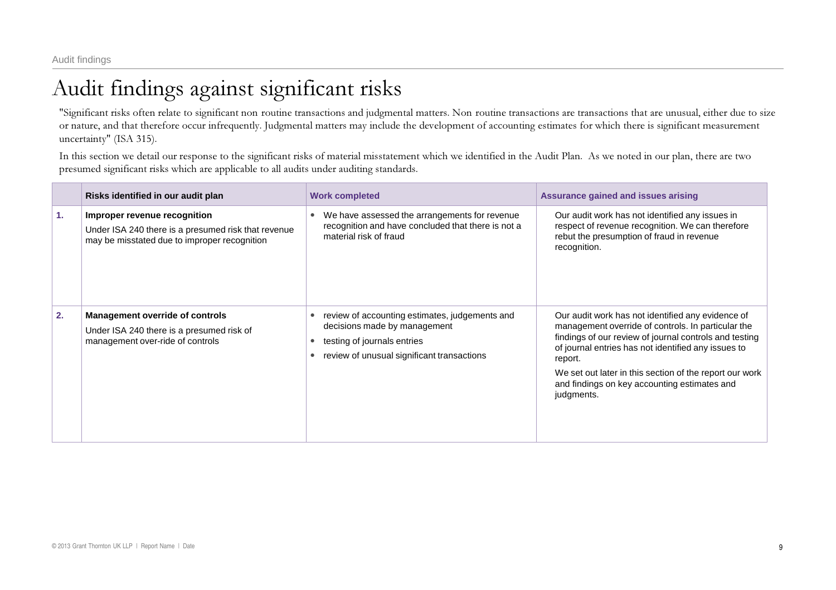## Audit findings against significant risks

"Significant risks often relate to significant non routine transactions and judgmental matters. Non routine transactions are transactions that are unusual, either due to size or nature, and that therefore occur infrequently. Judgmental matters may include the development of accounting estimates for which there is significant measurement uncertainty" (ISA 315).

In this section we detail our response to the significant risks of material misstatement which we identified in the Audit Plan. As we noted in our plan, there are two presumed significant risks which are applicable to all audits under auditing standards.

|    | Risks identified in our audit plan                                                                                                  | <b>Work completed</b>                                                                                                                                       | Assurance gained and issues arising                                                                                                                                                                                                                                                                                                                          |
|----|-------------------------------------------------------------------------------------------------------------------------------------|-------------------------------------------------------------------------------------------------------------------------------------------------------------|--------------------------------------------------------------------------------------------------------------------------------------------------------------------------------------------------------------------------------------------------------------------------------------------------------------------------------------------------------------|
| 1. | Improper revenue recognition<br>Under ISA 240 there is a presumed risk that revenue<br>may be misstated due to improper recognition | We have assessed the arrangements for revenue<br>recognition and have concluded that there is not a<br>material risk of fraud                               | Our audit work has not identified any issues in<br>respect of revenue recognition. We can therefore<br>rebut the presumption of fraud in revenue<br>recognition.                                                                                                                                                                                             |
| 2. | <b>Management override of controls</b><br>Under ISA 240 there is a presumed risk of<br>management over-ride of controls             | review of accounting estimates, judgements and<br>decisions made by management<br>testing of journals entries<br>review of unusual significant transactions | Our audit work has not identified any evidence of<br>management override of controls. In particular the<br>findings of our review of journal controls and testing<br>of journal entries has not identified any issues to<br>report.<br>We set out later in this section of the report our work<br>and findings on key accounting estimates and<br>judgments. |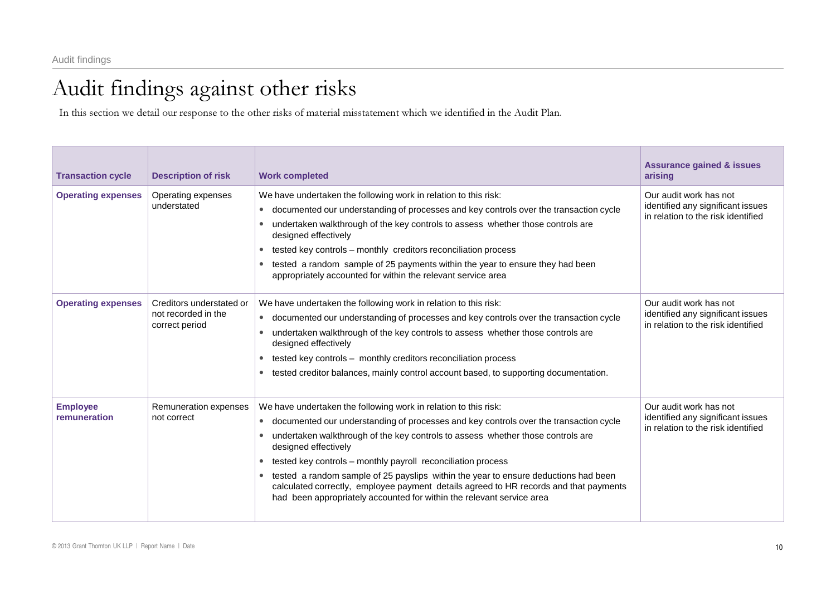## Audit findings against other risks

In this section we detail our response to the other risks of material misstatement which we identified in the Audit Plan.

| <b>Transaction cycle</b>        | <b>Description of risk</b>                                        | <b>Work completed</b>                                                                                                                                                                                                                                                                                                                                                                                                                                                                                                                                                                        | <b>Assurance gained &amp; issues</b><br>arising                                                   |
|---------------------------------|-------------------------------------------------------------------|----------------------------------------------------------------------------------------------------------------------------------------------------------------------------------------------------------------------------------------------------------------------------------------------------------------------------------------------------------------------------------------------------------------------------------------------------------------------------------------------------------------------------------------------------------------------------------------------|---------------------------------------------------------------------------------------------------|
| <b>Operating expenses</b>       | Operating expenses<br>understated                                 | We have undertaken the following work in relation to this risk:<br>documented our understanding of processes and key controls over the transaction cycle<br>$\bullet$<br>undertaken walkthrough of the key controls to assess whether those controls are<br>designed effectively<br>tested key controls - monthly creditors reconciliation process<br>$\bullet$<br>tested a random sample of 25 payments within the year to ensure they had been<br>appropriately accounted for within the relevant service area                                                                             | Our audit work has not<br>identified any significant issues<br>in relation to the risk identified |
| <b>Operating expenses</b>       | Creditors understated or<br>not recorded in the<br>correct period | We have undertaken the following work in relation to this risk:<br>documented our understanding of processes and key controls over the transaction cycle<br>undertaken walkthrough of the key controls to assess whether those controls are<br>designed effectively<br>tested key controls - monthly creditors reconciliation process<br>$\bullet$<br>tested creditor balances, mainly control account based, to supporting documentation.<br>$\bullet$                                                                                                                                      | Our audit work has not<br>identified any significant issues<br>in relation to the risk identified |
| <b>Employee</b><br>remuneration | Remuneration expenses<br>not correct                              | We have undertaken the following work in relation to this risk:<br>documented our understanding of processes and key controls over the transaction cycle<br>undertaken walkthrough of the key controls to assess whether those controls are<br>designed effectively<br>tested key controls - monthly payroll reconciliation process<br>tested a random sample of 25 payslips within the year to ensure deductions had been<br>calculated correctly, employee payment details agreed to HR records and that payments<br>had been appropriately accounted for within the relevant service area | Our audit work has not<br>identified any significant issues<br>in relation to the risk identified |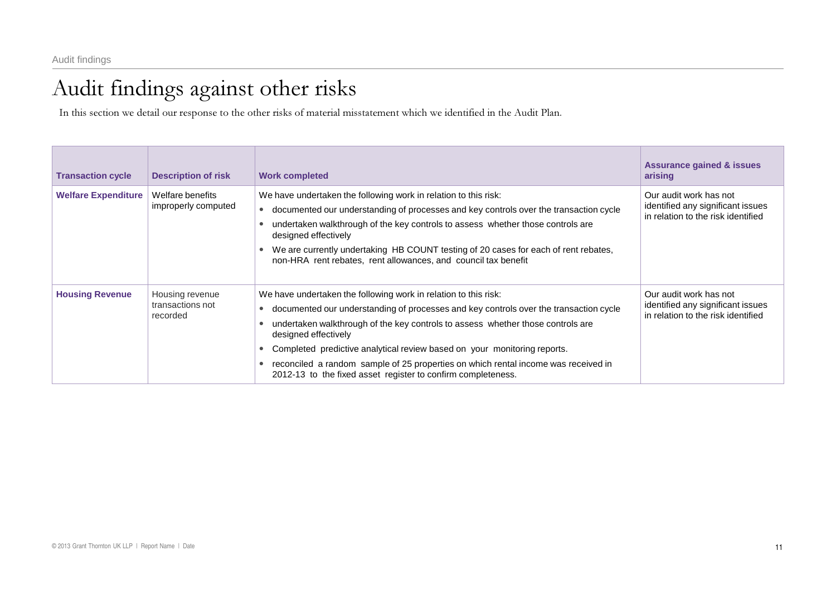## Audit findings against other risks

In this section we detail our response to the other risks of material misstatement which we identified in the Audit Plan.

| <b>Transaction cycle</b>   | <b>Description of risk</b>                      | <b>Work completed</b>                                                                                                                                                                                                                                                                                                                                                                                                                                                                                                           | <b>Assurance gained &amp; issues</b><br>arising                                                   |
|----------------------------|-------------------------------------------------|---------------------------------------------------------------------------------------------------------------------------------------------------------------------------------------------------------------------------------------------------------------------------------------------------------------------------------------------------------------------------------------------------------------------------------------------------------------------------------------------------------------------------------|---------------------------------------------------------------------------------------------------|
| <b>Welfare Expenditure</b> | Welfare benefits<br>improperly computed         | We have undertaken the following work in relation to this risk:<br>documented our understanding of processes and key controls over the transaction cycle<br>$\bullet$<br>undertaken walkthrough of the key controls to assess whether those controls are<br>designed effectively<br>We are currently undertaking HB COUNT testing of 20 cases for each of rent rebates,<br>$\bullet$<br>non-HRA rent rebates, rent allowances, and council tax benefit                                                                          | Our audit work has not<br>identified any significant issues<br>in relation to the risk identified |
| <b>Housing Revenue</b>     | Housing revenue<br>transactions not<br>recorded | We have undertaken the following work in relation to this risk:<br>documented our understanding of processes and key controls over the transaction cycle<br>$\bullet$<br>undertaken walkthrough of the key controls to assess whether those controls are<br>designed effectively<br>Completed predictive analytical review based on your monitoring reports.<br>$\bullet$<br>reconciled a random sample of 25 properties on which rental income was received in<br>2012-13 to the fixed asset register to confirm completeness. | Our audit work has not<br>identified any significant issues<br>in relation to the risk identified |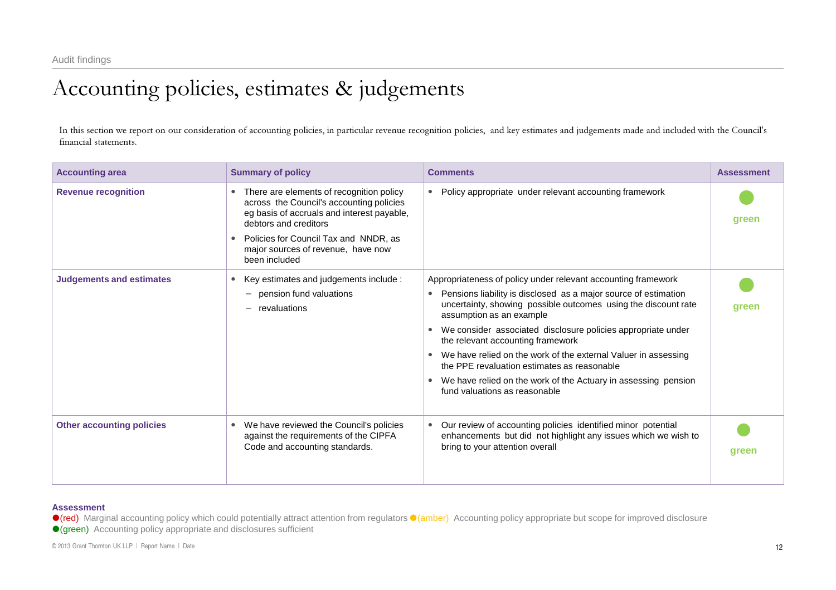## Accounting policies, estimates & judgements

In this section we repor<sup>t</sup> on our consideration of accounting policies, in particular revenue recognition policies, and key estimates and judgements made and included with the Council's financial statements.

| <b>Accounting area</b>           | <b>Summary of policy</b>                                                                                                                                                                                                                                    | <b>Comments</b>                                                                                                                                                                | <b>Assessment</b> |
|----------------------------------|-------------------------------------------------------------------------------------------------------------------------------------------------------------------------------------------------------------------------------------------------------------|--------------------------------------------------------------------------------------------------------------------------------------------------------------------------------|-------------------|
| <b>Revenue recognition</b>       | There are elements of recognition policy<br>across the Council's accounting policies<br>eg basis of accruals and interest payable,<br>debtors and creditors<br>Policies for Council Tax and NNDR, as<br>major sources of revenue, have now<br>been included | Policy appropriate under relevant accounting framework<br>$\bullet$                                                                                                            | green             |
| <b>Judgements and estimates</b>  | Key estimates and judgements include :                                                                                                                                                                                                                      | Appropriateness of policy under relevant accounting framework                                                                                                                  |                   |
|                                  | pension fund valuations<br>revaluations                                                                                                                                                                                                                     | Pensions liability is disclosed as a major source of estimation<br>uncertainty, showing possible outcomes using the discount rate<br>assumption as an example                  | green             |
|                                  |                                                                                                                                                                                                                                                             | We consider associated disclosure policies appropriate under<br>the relevant accounting framework                                                                              |                   |
|                                  |                                                                                                                                                                                                                                                             | We have relied on the work of the external Valuer in assessing<br>the PPE revaluation estimates as reasonable                                                                  |                   |
|                                  |                                                                                                                                                                                                                                                             | We have relied on the work of the Actuary in assessing pension<br>fund valuations as reasonable                                                                                |                   |
| <b>Other accounting policies</b> | We have reviewed the Council's policies<br>$\bullet$<br>against the requirements of the CIPFA<br>Code and accounting standards.                                                                                                                             | Our review of accounting policies identified minor potential<br>$\bullet$<br>enhancements but did not highlight any issues which we wish to<br>bring to your attention overall | green             |

#### **Assessment**

●(red) Marginal accounting policy which could potentially attract attention from regulators ●(amber) Accounting policy appropriate but scope for improved disclosure

e(green) Accounting policy appropriate and disclosures sufficient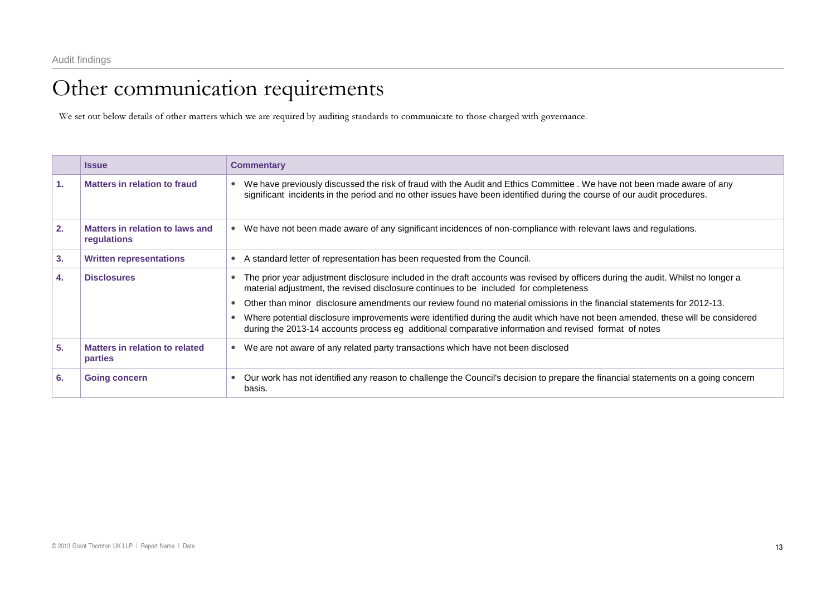## Other communication requirements

We set out below details of other matters which we are required by auditing standards to communicate to those charged with governance.

|    | <b>Issue</b>                                   | <b>Commentary</b>                                                                                                                                                                                                                                 |
|----|------------------------------------------------|---------------------------------------------------------------------------------------------------------------------------------------------------------------------------------------------------------------------------------------------------|
| 1. | Matters in relation to fraud                   | We have previously discussed the risk of fraud with the Audit and Ethics Committee. We have not been made aware of any<br>significant incidents in the period and no other issues have been identified during the course of our audit procedures. |
| 2. | Matters in relation to laws and<br>regulations | We have not been made aware of any significant incidences of non-compliance with relevant laws and regulations.                                                                                                                                   |
| 3. | <b>Written representations</b>                 | A standard letter of representation has been requested from the Council.                                                                                                                                                                          |
| 4. | <b>Disclosures</b>                             | The prior year adjustment disclosure included in the draft accounts was revised by officers during the audit. Whilst no longer a<br>material adjustment, the revised disclosure continues to be included for completeness                         |
|    |                                                | Other than minor disclosure amendments our review found no material omissions in the financial statements for 2012-13.                                                                                                                            |
|    |                                                | Where potential disclosure improvements were identified during the audit which have not been amended, these will be considered<br>during the 2013-14 accounts process eg additional comparative information and revised format of notes           |
| 5. | Matters in relation to related<br>parties      | We are not aware of any related party transactions which have not been disclosed<br>$\bullet$                                                                                                                                                     |
| 6. | <b>Going concern</b>                           | Our work has not identified any reason to challenge the Council's decision to prepare the financial statements on a going concern<br>basis.                                                                                                       |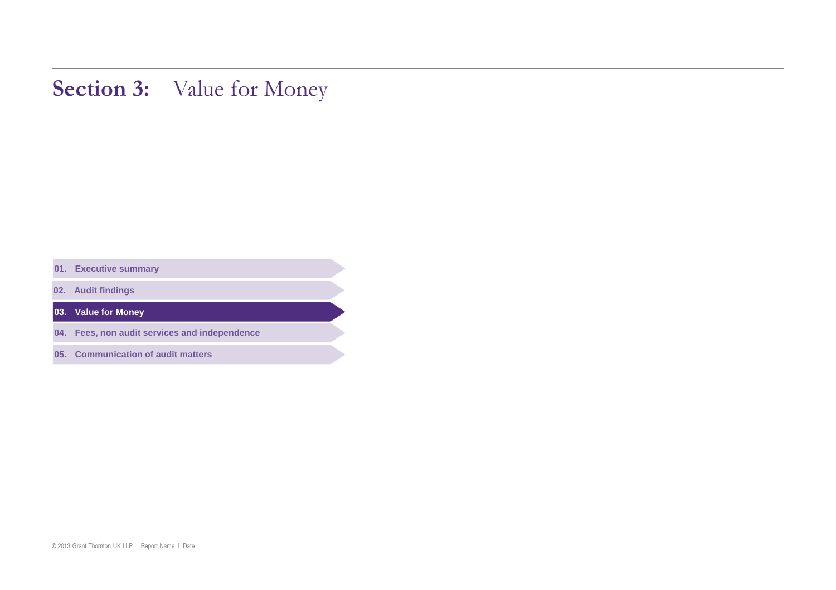## Section 3: Value for Money

**. Executive summary** 

**. Audit findings** 

**. Value for Money** 

**. Fees, non audit services and independence** 

**. Communication of audit matters**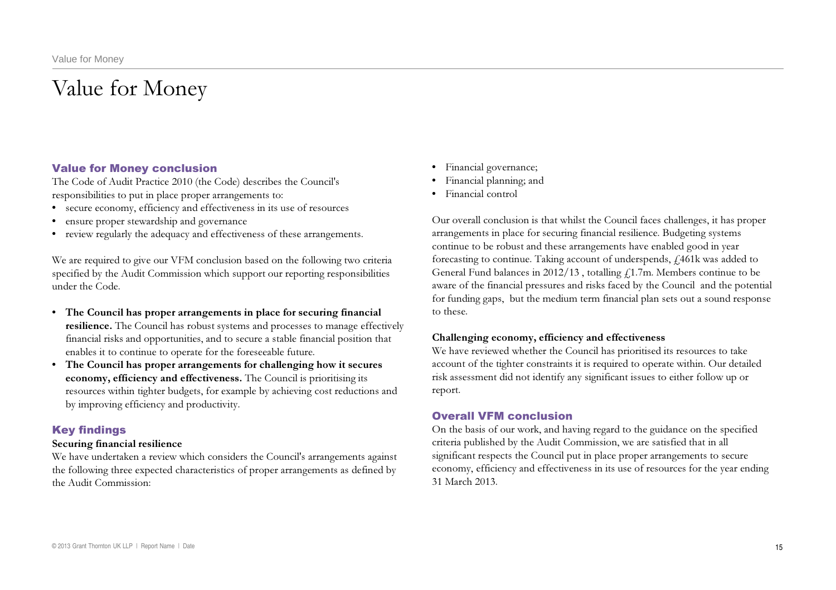## Value for Money

### Value for Money conclusion

The Code of Audit Practice 2010 (the Code) describes the Council's responsibilities to put in place proper arrangements to:

- secure economy, efficiency and effectiveness in its use of resources
- ensure proper stewardship and governance
- • review regularly the adequacy and effectiveness of these arrangements.

We are required to give our VFM conclusion based on the following two criteria specified by the Audit Commission which support our reporting responsibilities under the Code.

- The Council has proper arrangements in place for securing financial **resilience.** The Council has robust systems and processes to manage effectively financial risks and opportunities, and to secure a stable financial position that enables it to continue to operate for the foreseeable future.
- The Council has proper arrangements for challenging how it secures economy, efficiency and effectiveness. The Council is prioritising its resources within tighter budgets, for example by achieving cost reductions and by improving efficiency and productivity.

### Key findings

### Securing financial resilience

We have undertaken a review which considers the Council's arrangements against the following three expected characteristics of proper arrangements as defined by the Audit Commission:

- • Financial governance;
- • Financial planning; and
- • Financial control

Our overall conclusion is that whilst the Council faces challenges, it has proper arrangements in place for securing financial resilience. Budgeting systems continue to be robust and these arrangements have enabled good in year forecasting to continue. Taking account of underspends,  $f$ 461k was added to General Fund balances in 2012/13 , totalling  $f_{\rm L}$ 1.7m. Members continue to be aware of the financial pressures and risks faced by the Council and the potential for funding gaps, but the medium term financial plan sets out a sound response to these.

#### Challenging economy, efficiency and effectiveness

We have reviewed whether the Council has prioritised its resources to take account of the tighter constraints it is required to operate within. Our detailed risk assessment did not identify any significant issues to either follow up or report.

### Overall VFM conclusion

On the basis of our work, and having regard to the guidance on the specified criteria published by the Audit Commission, we are satisfied that in all significant respects the Council put in place proper arrangements to secure economy, efficiency and effectiveness in its use of resources for the year ending 31 March 2013.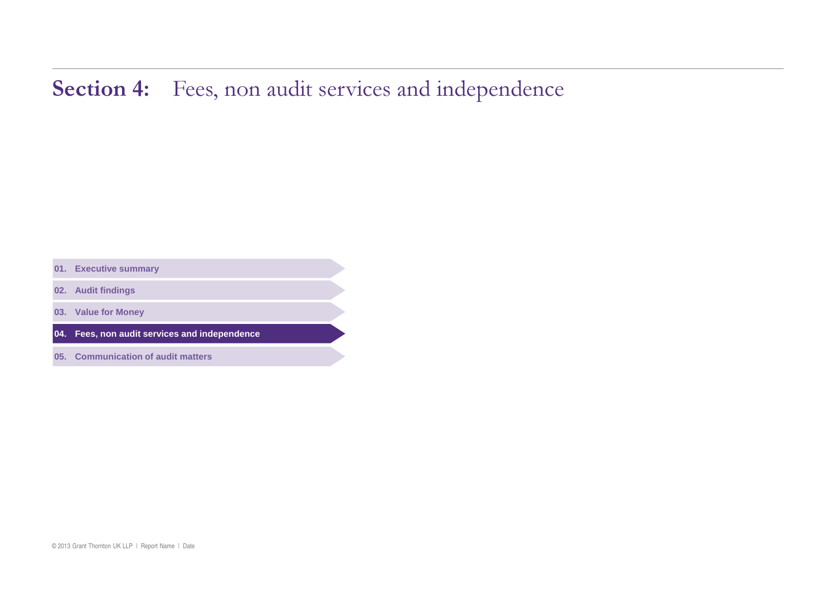## Section 4: Fees, non audit services and independence

**. Executive summary** 

**. Audit findings** 

**. Value for Money** 

**. Fees, non audit services and independence** 

**. Communication of audit matters**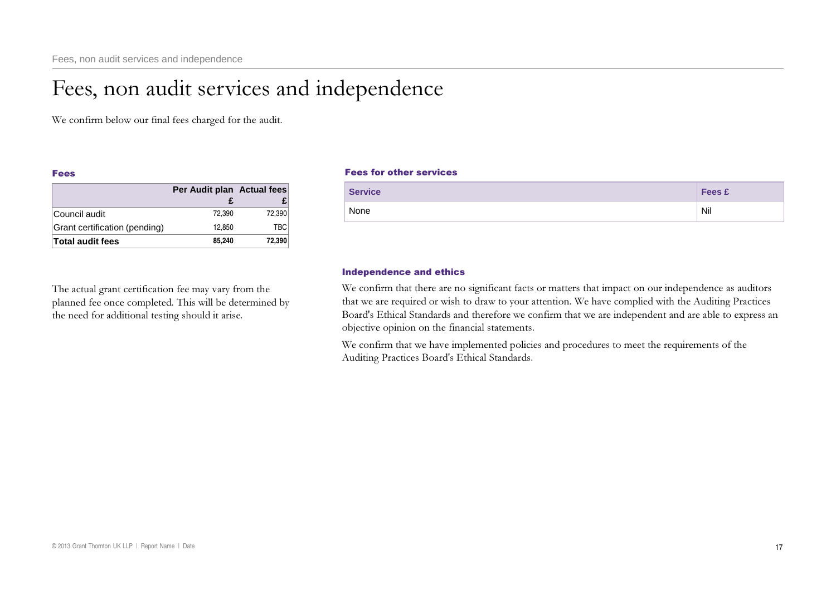## Fees, non audit services and independence

We confirm below our final fees charged for the audit.

#### Fees

|                               | Per Audit plan Actual fees |            |
|-------------------------------|----------------------------|------------|
|                               |                            |            |
| Council audit                 | 72.390                     | 72,390     |
| Grant certification (pending) | 12.850                     | <b>TBC</b> |
| <b>Total audit fees</b>       | 85.240                     | 72,390     |

The actual grant certification fee may vary from the planned fee once completed. This will be determined by the need for additional testing should it arise.

### Fees for other services

|      | <b>Service</b> | <b>Fees £</b> |  |
|------|----------------|---------------|--|
| None |                | Nil           |  |

### Independence and ethics

We confirm that there are no significant facts or matters that impact on our independence as auditors that we are required or wish to draw to your attention. We have complied with the Auditing Practices Board's Ethical Standards and therefore we confirm that we are independent and are able to express an objective opinion on the financial statements.

We confirm that we have implemented policies and procedures to meet the requirements of the Auditing Practices Board's Ethical Standards.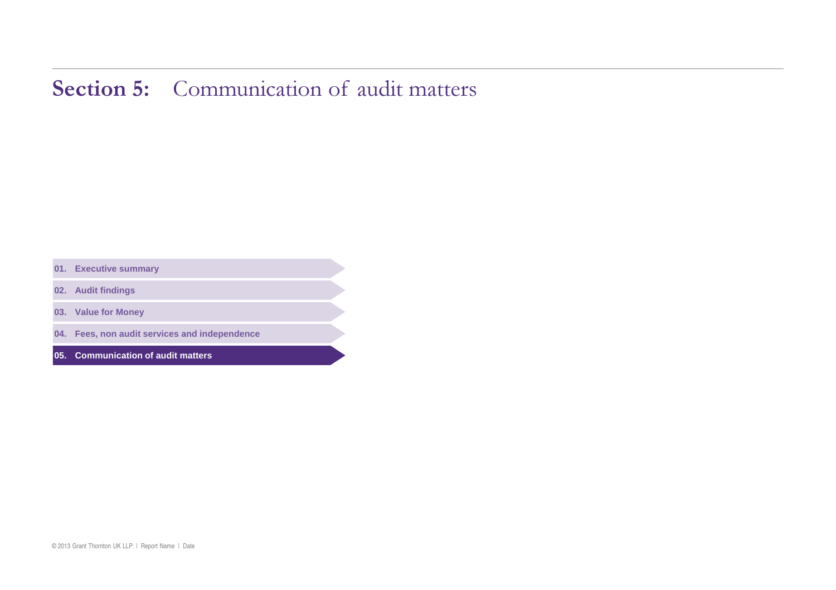## Section 5: Communication of audit matters

**. Executive summary** 

**. Audit findings** 

**. Value for Money** 

**. Fees, non audit services and independence** 

**. Communication of audit matters**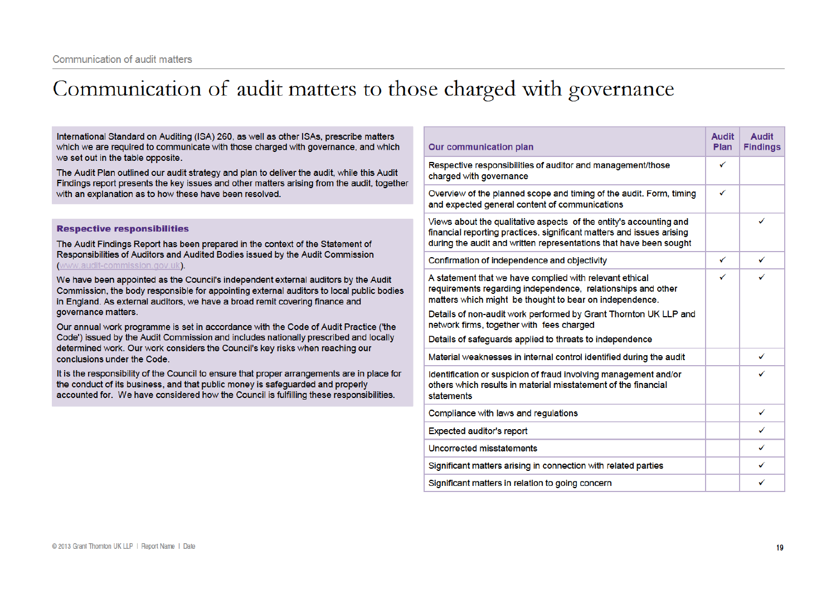## Communication of audit matters to those charged with governance

International Standard on Auditing (ISA) 260, as well as other ISAs, prescribe matters **Audit Audit** which we are required to communicate with those charged with governance, and which **Our communication plan Findings** Plan we set out in the table opposite. Respective responsibilities of auditor and management/those  $\checkmark$ The Audit Plan outlined our audit strategy and plan to deliver the audit, while this Audit charged with governance Findings report presents the key issues and other matters arising from the audit, together  $\checkmark$ with an explanation as to how these have been resolved. Overview of the planned scope and timing of the audit. Form, timing and expected general content of communications Views about the qualitative aspects of the entity's accounting and ✓ **Respective responsibilities** financial reporting practices, significant matters and issues arising during the audit and written representations that have been sought The Audit Findings Report has been prepared in the context of the Statement of Responsibilities of Auditors and Audited Bodies issued by the Audit Commission  $\checkmark$  $\checkmark$ Confirmation of independence and objectivity (www.audit-commission.gov.uk).  $\checkmark$ A statement that we have complied with relevant ethical ✓ We have been appointed as the Council's independent external auditors by the Audit requirements regarding independence, relationships and other Commission, the body responsible for appointing external auditors to local public bodies matters which might be thought to bear on independence. in England. As external auditors, we have a broad remit covering finance and governance matters. Details of non-audit work performed by Grant Thornton UK LLP and network firms, together with fees charged Our annual work programme is set in accordance with the Code of Audit Practice ('the Code') issued by the Audit Commission and includes nationally prescribed and locally Details of safequards applied to threats to independence determined work. Our work considers the Council's key risks when reaching our ✓ Material weaknesses in internal control identified during the audit conclusions under the Code. It is the responsibility of the Council to ensure that proper arrangements are in place for Identification or suspicion of fraud involving management and/or J the conduct of its business, and that public money is safeguarded and properly others which results in material misstatement of the financial accounted for. We have considered how the Council is fulfilling these responsibilities. statements ✓ Compliance with laws and regulations **Expected auditor's report**  $\checkmark$ ✓ Uncorrected misstatements Significant matters arising in connection with related parties ✓ ✓ Significant matters in relation to going concern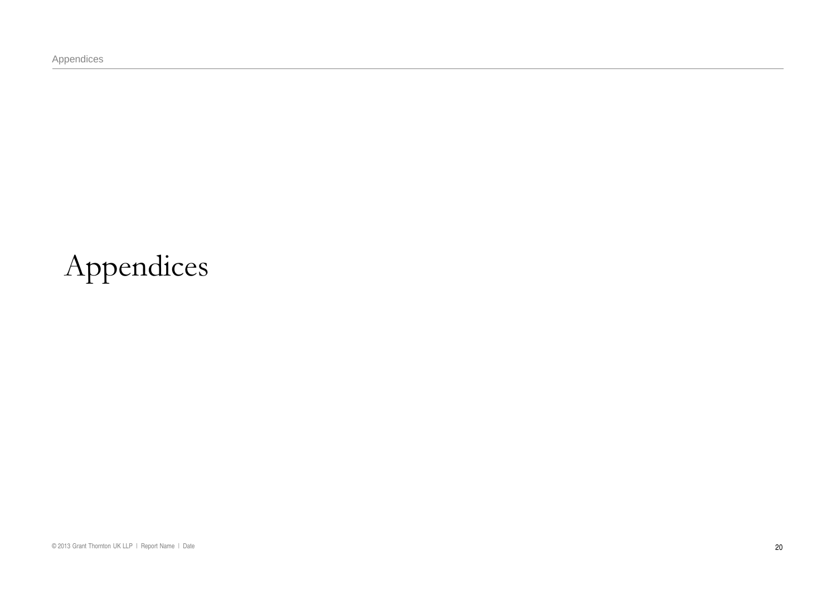Appendices

# Appendices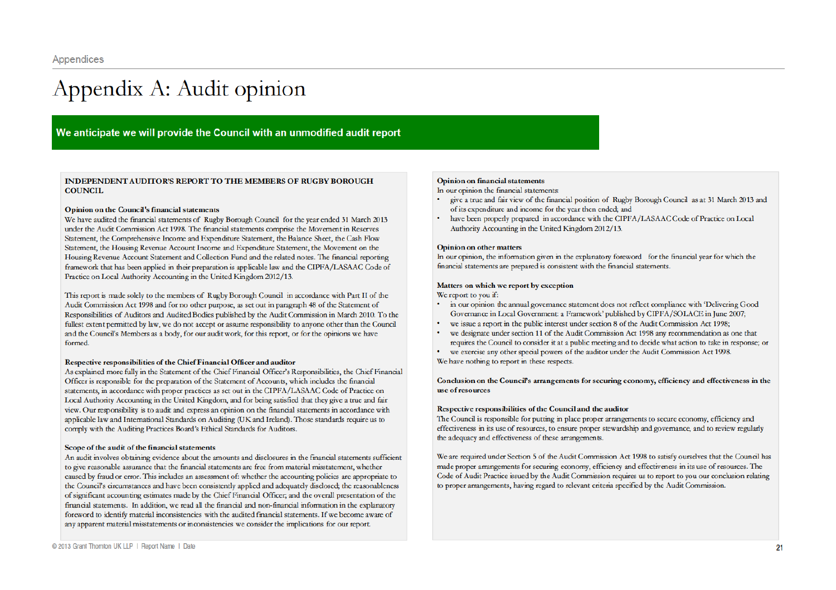## Appendix A: Audit opinion

### We anticipate we will provide the Council with an unmodified audit report

**INDEPENDENT AUDITOR'S REPORT TO THE MEMBERS OF RUGBY BOROUGH COUNCIL** 

#### Opinion on the Council's financial statements

We have audited the financial statements of Rugby Borough Council for the year ended 31 March 2013 under the Audit Commission Act 1998. The financial statements comprise the Movement in Reserves Statement, the Comprehensive Income and Expenditure Statement, the Balance Sheet, the Cash Flow Statement, the Housing Revenue Account Income and Expenditure Statement, the Movement on the Housing Revenue Account Statement and Collection Fund and the related notes. The financial reporting framework that has been applied in their preparation is applicable law and the CIPFA/LASAAC Code of Practice on Local Authority Accounting in the United Kingdom 2012/13.

This report is made solely to the members of Rugby Borough Council in accordance with Part II of the Audit Commission Act 1998 and for no other purpose, as set out in paragraph 48 of the Statement of Responsibilities of Auditors and Audited Bodies published by the Audit Commission in March 2010. To the fullest extent permitted by law, we do not accept or assume responsibility to anyone other than the Council and the Council's Members as a body, for our audit work, for this report, or for the opinions we have formed.

#### Respective responsibilities of the Chief Financial Officer and auditor

As explained more fully in the Statement of the Chief Financial Officer's Responsibilities, the Chief Financial Officer is responsible for the preparation of the Statement of Accounts, which includes the financial statements, in accordance with proper practices as set out in the CIPFA/LASAAC Code of Practice on Local Authority Accounting in the United Kingdom, and for being satisfied that they give a true and fair view. Our responsibility is to audit and express an opinion on the financial statements in accordance with applicable law and International Standards on Auditing (UK and Ireland). Those standards require us to comply with the Auditing Practices Board's Ethical Standards for Auditors.

#### Scope of the audit of the financial statements

An audit involves obtaining evidence about the amounts and disclosures in the financial statements sufficient to give reasonable assurance that the financial statements are free from material misstatement, whether caused by fraud or error. This includes an assessment of: whether the accounting policies are appropriate to the Council's circumstances and have been consistently applied and adequately disclosed; the reasonableness of significant accounting estimates made by the Chief Financial Officer, and the overall presentation of the financial statements. In addition, we read all the financial and non-financial information in the explanatory foreword to identify material inconsistencies with the audited financial statements. If we become aware of any apparent material misstatements or inconsistencies we consider the implications for our report.

#### **Opinion on financial statements**

In our opinion the financial statements:

- give a true and fair view of the financial position of Rugby Borough Council as at 31 March 2013 and of its expenditure and income for the year then ended; and
- have been properly prepared in accordance with the CIPFA/LASAAC Code of Practice on Local Authority Accounting in the United Kingdom 2012/13.

#### **Opinion on other matters**

In our opinion, the information given in the explanatory foreword for the financial year for which the financial statements are prepared is consistent with the financial statements.

#### Matters on which we report by exception

We report to you if:

- in our opinion the annual governance statement does not reflect compliance with 'Delivering Good Governance in Local Government: a Framework' published by CIPFA/SOLACE in June 2007;
- we issue a report in the public interest under section 8 of the Audit Commission Act 1998;
- we designate under section 11 of the Audit Commission Act 1998 any recommendation as one that requires the Council to consider it at a public meeting and to decide what action to take in response; or
- we exercise any other special powers of the auditor under the Audit Commission Act 1998.  $\bullet$ We have nothing to report in these respects.

#### Conclusion on the Council's arrangements for securing economy, efficiency and effectiveness in the use of resources

#### Respective responsibilities of the Council and the auditor

The Council is responsible for putting in place proper arrangements to secure economy, efficiency and effectiveness in its use of resources, to ensure proper stewardship and governance, and to review regularly the adequacy and effectiveness of these arrangements.

We are required under Section 5 of the Audit Commission Act 1998 to satisfy ourselves that the Council has made proper arrangements for securing economy, efficiency and effectiveness in its use of resources. The Code of Audit Practice issued by the Audit Commission requires us to report to you our conclusion relating to proper arrangements, having regard to relevant criteria specified by the Audit Commission.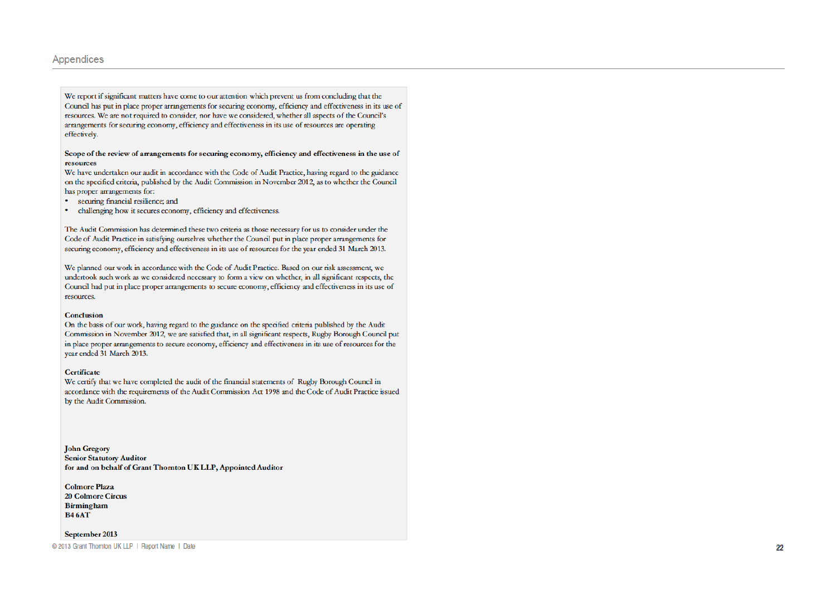#### Appendices

We report if significant matters have come to our attention which prevent us from concluding that the Council has put in place proper arrangements for securing economy, efficiency and effectiveness in its use of resources. We are not required to consider, nor have we considered, whether all aspects of the Council's arrangements for securing economy, efficiency and effectiveness in its use of resources are operating effectively.

#### Scope of the review of arrangements for securing economy, efficiency and effectiveness in the use of resources

We have undertaken our audit in accordance with the Code of Audit Practice, having regard to the guidance on the specified criteria, published by the Audit Commission in November 2012, as to whether the Council has proper arrangements for:

- · securing financial resilience; and
- $\bullet$ challenging how it secures economy, efficiency and effectiveness.

The Audit Commission has determined these two criteria as those necessary for us to consider under the Code of Audit Practice in satisfying ourselves whether the Council put in place proper arrangements for securing economy, efficiency and effectiveness in its use of resources for the year ended 31 March 2013.

We planned our work in accordance with the Code of Audit Practice. Based on our risk assessment, we undertook such work as we considered necessary to form a view on whether, in all significant respects, the Council had put in place proper arrangements to secure economy, efficiency and effectiveness in its use of resources.

#### Conclusion

On the basis of our work, having regard to the guidance on the specified criteria published by the Audit Commission in November 2012, we are satisfied that, in all significant respects, Rugby Borough Council put in place proper arrangements to secure economy, efficiency and effectiveness in its use of resources for the vear ended 31 March 2013.

#### **Certificate**

We certify that we have completed the audit of the financial statements of Rugby Borough Council in accordance with the requirements of the Audit Commission Act 1998 and the Code of Audit Practice issued by the Audit Commission.

**John Gregory Senior Statutory Auditor** for and on behalf of Grant Thornton UK LLP, Appointed Auditor

**Colmore Plaza 20 Colmore Circus Birmingham B46AT** 

#### September 2013

@ 2013 Grant Thornton UK LLP | Report Name | Date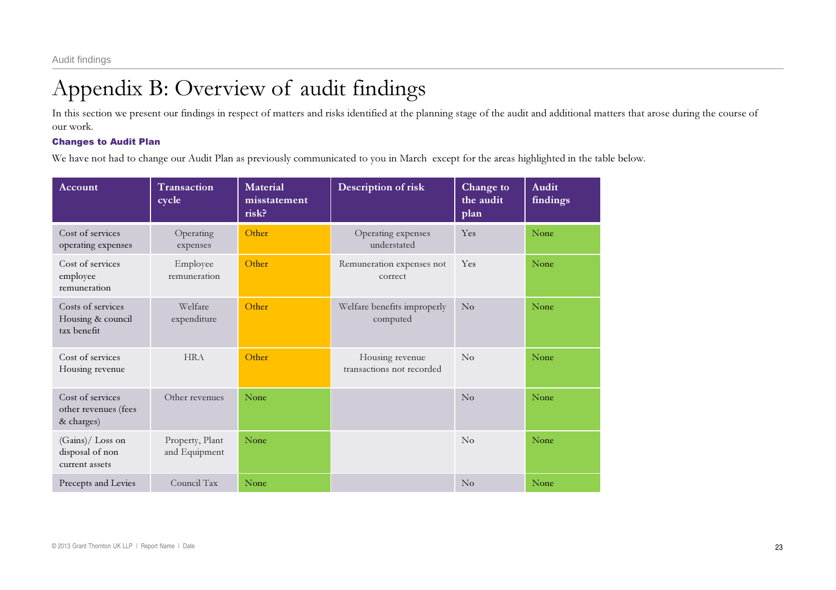## Appendix B: Overview of audit findings

In this section we present our findings in respect of matters and risks identified at the planning stage of the audit and additional matters that arose during the course of our work.

## Changes to Audit Plan

We have not had to change our Audit Plan as previously communicated to you in March except for the areas highlighted in the table below.

| Account                                                | <b>Transaction</b><br>cycle      | <b>Material</b><br>misstatement<br>risk? | Description of risk                          | Change to<br>the audit<br>plan | <b>Audit</b><br>findings |
|--------------------------------------------------------|----------------------------------|------------------------------------------|----------------------------------------------|--------------------------------|--------------------------|
| Cost of services<br>operating expenses                 | Operating<br>expenses            | Other                                    | Operating expenses<br>understated            | Yes                            | None                     |
| Cost of services<br>employee<br>remuneration           | Employee<br>remuneration         | Other                                    | Remuneration expenses not<br>correct         | Yes                            | None                     |
| Costs of services<br>Housing & council<br>tax benefit  | Welfare<br>expenditure           | Other                                    | Welfare benefits improperly<br>computed      | No                             | None                     |
| Cost of services<br>Housing revenue                    | <b>HRA</b>                       | Other                                    | Housing revenue<br>transactions not recorded | $\rm No$                       | None                     |
| Cost of services<br>other revenues (fees<br>& charges) | Other revenues                   | None                                     |                                              | $\rm No$                       | None                     |
| (Gains)/ Loss on<br>disposal of non<br>current assets  | Property, Plant<br>and Equipment | None                                     |                                              | $\rm No$                       | None                     |
| Precepts and Levies                                    | Council Tax                      | None                                     |                                              | No                             | None                     |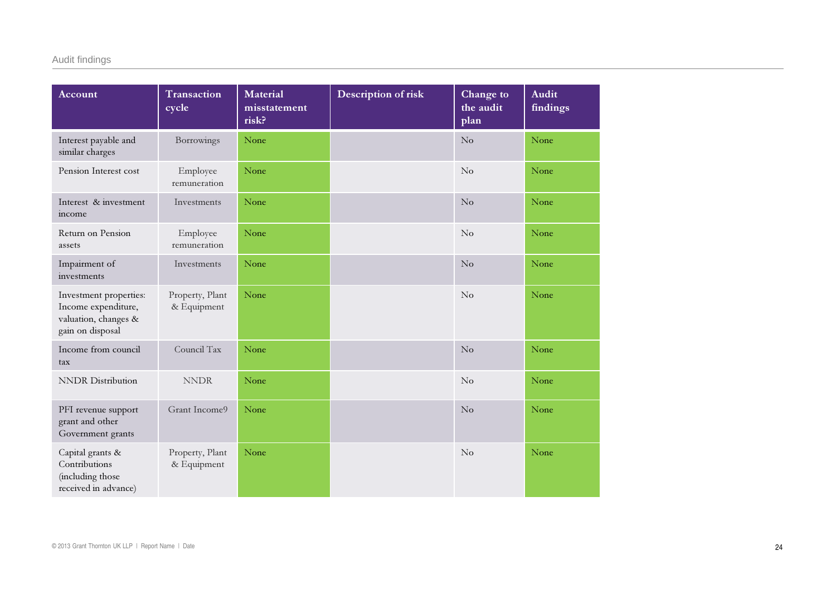| Account                                                                                   | Transaction<br>cycle           | <b>Material</b><br>misstatement<br>risk? | Description of risk | Change to<br>the audit<br>plan | <b>Audit</b><br>findings |
|-------------------------------------------------------------------------------------------|--------------------------------|------------------------------------------|---------------------|--------------------------------|--------------------------|
| Interest payable and<br>similar charges                                                   | Borrowings                     | None                                     |                     | No                             | None                     |
| Pension Interest cost                                                                     | Employee<br>remuneration       | None                                     |                     | No                             | None                     |
| Interest & investment<br>income                                                           | Investments                    | None                                     |                     | No                             | None                     |
| Return on Pension<br>assets                                                               | Employee<br>remuneration       | None                                     |                     | No                             | None                     |
| Impairment of<br>investments                                                              | Investments                    | None                                     |                     | No                             | None                     |
| Investment properties:<br>Income expenditure,<br>valuation, changes &<br>gain on disposal | Property, Plant<br>& Equipment | None                                     |                     | No                             | None                     |
| Income from council<br>tax                                                                | Council Tax                    | None                                     |                     | No                             | None                     |
| <b>NNDR</b> Distribution                                                                  | $\ensuremath{\mathrm{NNDR}}$   | None                                     |                     | No                             | None                     |
| PFI revenue support<br>grant and other<br>Government grants                               | Grant Income9                  | None                                     |                     | No                             | None                     |
| Capital grants &<br>Contributions<br>(including those<br>received in advance)             | Property, Plant<br>& Equipment | None                                     |                     | No                             | None                     |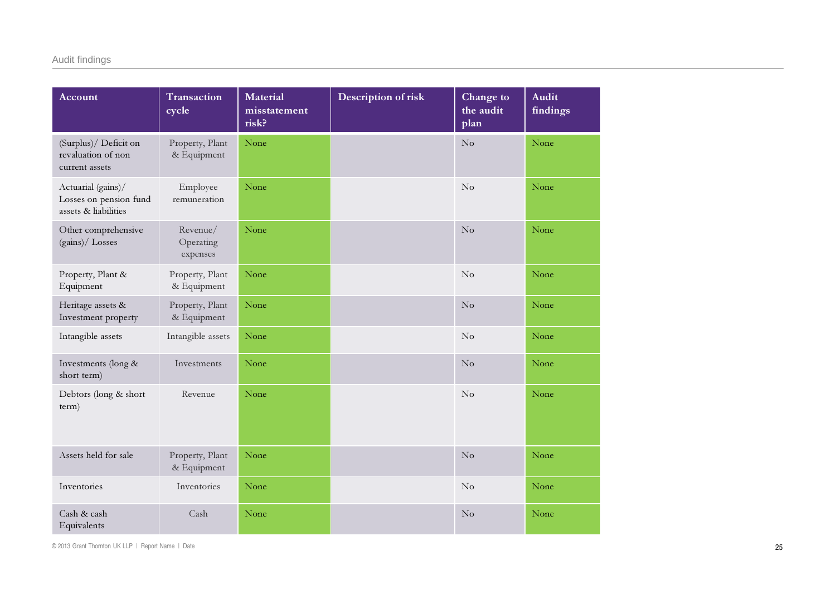| Account                                                              | Transaction<br>cycle              | <b>Material</b><br>misstatement<br>risk? | Description of risk | Change to<br>the audit<br>plan | <b>Audit</b><br>findings |
|----------------------------------------------------------------------|-----------------------------------|------------------------------------------|---------------------|--------------------------------|--------------------------|
| (Surplus)/ Deficit on<br>revaluation of non<br>current assets        | Property, Plant<br>& Equipment    | None                                     |                     | $\overline{\text{No}}$         | None                     |
| Actuarial (gains)/<br>Losses on pension fund<br>assets & liabilities | Employee<br>remuneration          | None                                     |                     | No                             | None                     |
| Other comprehensive<br>(gains)/ Losses                               | Revenue/<br>Operating<br>expenses | None                                     |                     | No                             | None                     |
| Property, Plant &<br>Equipment                                       | Property, Plant<br>& Equipment    | None                                     |                     | No                             | None                     |
| Heritage assets &<br>Investment property                             | Property, Plant<br>& Equipment    | None                                     |                     | No                             | None                     |
| Intangible assets                                                    | Intangible assets                 | None                                     |                     | $\rm No$                       | None                     |
| Investments (long &<br>short term)                                   | Investments                       | None                                     |                     | No                             | None                     |
| Debtors (long & short<br>term)                                       | Revenue                           | None                                     |                     | $\rm No$                       | None                     |
| Assets held for sale                                                 | Property, Plant<br>& Equipment    | None                                     |                     | $\overline{\text{No}}$         | None                     |
| Inventories                                                          | Inventories                       | None                                     |                     | No                             | None                     |
| Cash & cash<br>Equivalents                                           | Cash                              | None                                     |                     | $\rm No$                       | None                     |

© 2013 Grant Thornton UK LLP | Report Name | Date 25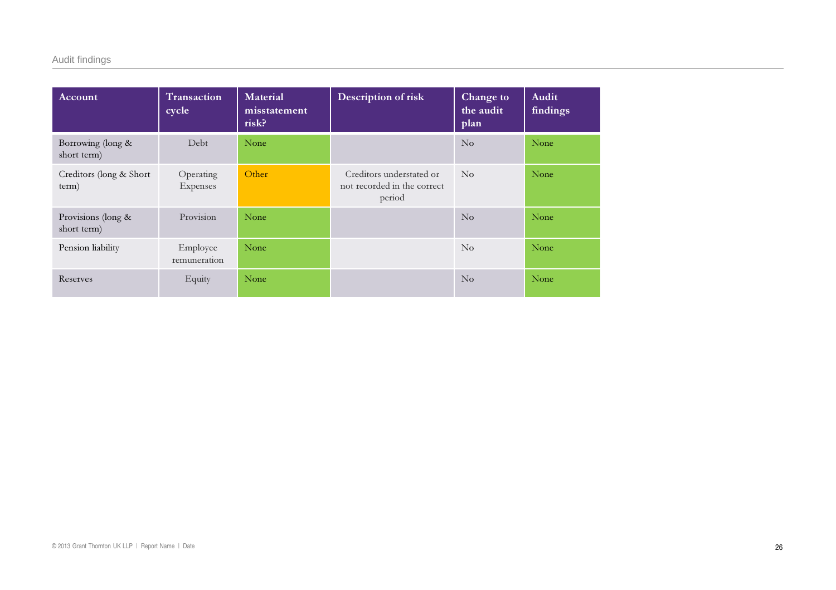## Audit findings

| Account                           | Transaction<br>cycle     | <b>Material</b><br>misstatement<br>risk? | Description of risk                                               | Change to<br>the audit<br>plan | Audit<br>findings |
|-----------------------------------|--------------------------|------------------------------------------|-------------------------------------------------------------------|--------------------------------|-------------------|
| Borrowing (long &<br>short term)  | Debt                     | None                                     |                                                                   | $\overline{N}_{0}$             | None              |
| Creditors (long & Short<br>term)  | Operating<br>Expenses    | Other                                    | Creditors understated or<br>not recorded in the correct<br>period | N <sub>o</sub>                 | None              |
| Provisions (long &<br>short term) | Provision                | None                                     |                                                                   | $\overline{N}_{0}$             | None              |
| Pension liability                 | Employee<br>remuneration | None                                     |                                                                   | $\overline{N}_{0}$             | None              |
| Reserves                          | Equity                   | None                                     |                                                                   | $\overline{N}_{0}$             | None              |